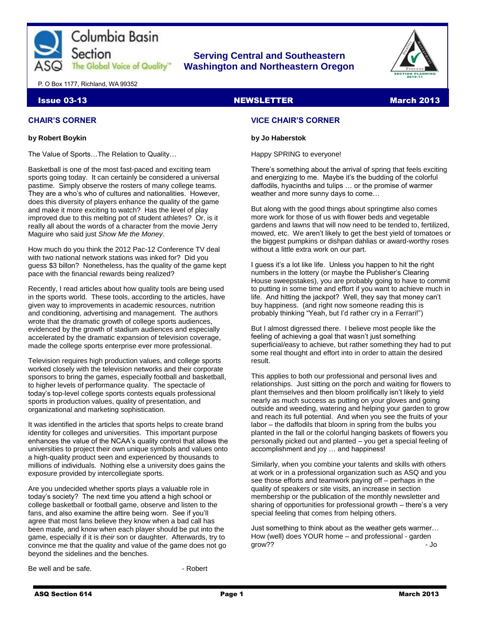

## **Serving Central and Southeastern The Global Voice of Quality | Washington and Northeastern Oregon**



P. O Box 1177, Richland, WA 99352

#### **Issue 03-13** NEWSLETTER MARCH 2013

## **CHAIR'S CORNER**

#### **by Robert Boykin**

The Value of Sports…The Relation to Quality…

Basketball is one of the most fast-paced and exciting team sports going today. It can certainly be considered a universal pastime. Simply observe the rosters of many college teams. They are a who's who of cultures and nationalities. However, does this diversity of players enhance the quality of the game and make it more exciting to watch? Has the level of play improved due to this melting pot of student athletes? Or, is it really all about the words of a character from the movie Jerry Maguire who said just *Show Me the Money*.

How much do you think the 2012 Pac-12 Conference TV deal with two national network stations was inked for? Did you guess \$3 billon? Nonetheless, has the quality of the game kept pace with the financial rewards being realized?

Recently, I read articles about how quality tools are being used in the sports world. These tools, according to the articles, have given way to improvements in academic resources, nutrition and conditioning, advertising and management. The authors wrote that the dramatic growth of college sports audiences, evidenced by the growth of stadium audiences and especially accelerated by the dramatic expansion of television coverage, made the college sports enterprise ever more professional.

Television requires high production values, and college sports worked closely with the television networks and their corporate sponsors to bring the games, especially football and basketball, to higher levels of performance quality. The spectacle of today's top-level college sports contests equals professional sports in production values, quality of presentation, and organizational and marketing sophistication.

It was identified in the articles that sports helps to create brand identity for colleges and universities. This important purpose enhances the value of the NCAA's quality control that allows the universities to project their own unique symbols and values onto a high-quality product seen and experienced by thousands to millions of individuals. Nothing else a university does gains the exposure provided by intercollegiate sports.

Are you undecided whether sports plays a valuable role in today's society? The next time you attend a high school or college basketball or football game, observe and listen to the fans, and also examine the attire being worn. See if you'll agree that most fans believe they know when a bad call has been made, and know when each player should be put into the game, especially if it is *their* son or daughter. Afterwards, try to convince me that the quality and value of the game does not go beyond the sidelines and the benches.

**VICE CHAIR'S CORNER**

#### **by Jo Haberstok**

Happy SPRING to everyone!

There's something about the arrival of spring that feels exciting and energizing to me. Maybe it's the budding of the colorful daffodils, hyacinths and tulips … or the promise of warmer weather and more sunny days to come…

But along with the good things about springtime also comes more work for those of us with flower beds and vegetable gardens and lawns that will now need to be tended to, fertilized, mowed, etc. We aren't likely to get the best yield of tomatoes or the biggest pumpkins or dishpan dahlias or award-worthy roses without a little extra work on our part.

I guess it's a lot like life. Unless you happen to hit the right numbers in the lottery (or maybe the Publisher's Clearing House sweepstakes), you are probably going to have to commit to putting in some time and effort if you want to achieve much in life. And hitting the jackpot? Well, they say that money can't buy happiness. (and right now someone reading this is probably thinking "Yeah, but I'd rather cry in a Ferrari!")

But I almost digressed there. I believe most people like the feeling of achieving a goal that wasn't just something superficial/easy to achieve, but rather something they had to put some real thought and effort into in order to attain the desired result.

This applies to both our professional and personal lives and relationships. Just sitting on the porch and waiting for flowers to plant themselves and then bloom prolifically isn't likely to yield nearly as much success as putting on your gloves and going outside and weeding, watering and helping your garden to grow and reach its full potential. And when you see the fruits of your labor – the daffodils that bloom in spring from the bulbs you planted in the fall or the colorful hanging baskets of flowers you personally picked out and planted – you get a special feeling of accomplishment and joy … and happiness!

Similarly, when you combine your talents and skills with others at work or in a professional organization such as ASQ and you see those efforts and teamwork paying off – perhaps in the quality of speakers or site visits, an increase in section membership or the publication of the monthly newsletter and sharing of opportunities for professional growth – there's a very special feeling that comes from helping others.

Just something to think about as the weather gets warmer… How (well) does YOUR home – and professional - garden grow?? - Jo

Be well and be safe. **But all and be safe. But all and be safe. - Robert**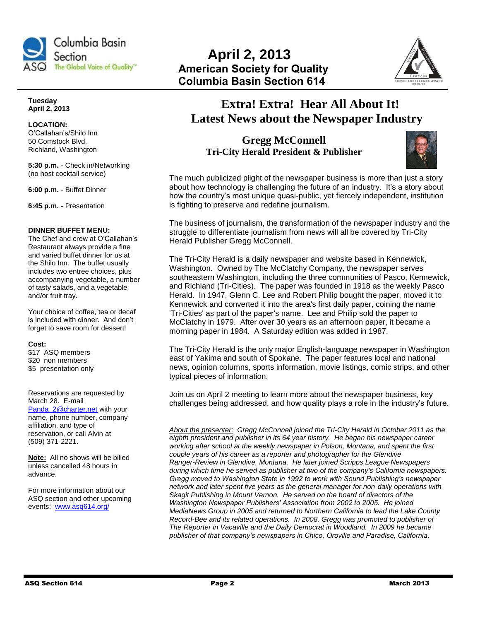

**Tuesday April 2, 2013**

#### **LOCATION:**  O'Callahan's/Shilo Inn 50 Comstock Blvd. Richland, Washington

**5:30 p.m.** - Check in/Networking (no host cocktail service)

**6:00 p.m.** - Buffet Dinner

**6:45 p.m.** - Presentation

#### **DINNER BUFFET MENU:**

The Chef and crew at O'Callahan's Restaurant always provide a fine and varied buffet dinner for us at the Shilo Inn. The buffet usually includes two entree choices, plus accompanying vegetable, a number of tasty salads, and a vegetable and/or fruit tray.

Your choice of coffee, tea or decaf is included with dinner. And don't forget to save room for dessert!

#### **Cost:**

\$17 ASQ members \$20 non members \$5 presentation only

Reservations are requested by March 28.E-mail

[Panda\\_2@charter.net](mailto:Panda_2@charter.net) with your name, phone number, company affiliation, and type of reservation, or call Alvin at (509) 371-2221.

**Note:** All no shows will be billed unless cancelled 48 hours in advance.

For more information about our ASQ section and other upcoming events:[www.asq614.org/](http://www.asq614.org/)



# **Extra! Extra! Hear All About It! Latest News about the Newspaper Industry**

**Gregg McConnell Tri-City Herald President & Publisher**



The much publicized plight of the newspaper business is more than just a story about how technology is challenging the future of an industry. It's a story about how the country's most unique quasi-public, yet fiercely independent, institution is fighting to preserve and redefine journalism.

The business of journalism, the transformation of the newspaper industry and the struggle to differentiate journalism from news will all be covered by Tri-City Herald Publisher Gregg McConnell.

The Tri-City Herald is a daily newspaper and website based in Kennewick, Washington. Owned by The McClatchy Company, the newspaper serves southeastern Washington, including the three communities of Pasco, Kennewick, and Richland (Tri-Cities). The paper was founded in 1918 as the weekly Pasco Herald. In 1947, Glenn C. Lee and Robert Philip bought the paper, moved it to Kennewick and converted it into the area's first daily paper, coining the name 'Tri-Cities' as part of the paper's name. Lee and Philip sold the paper to McClatchy in 1979. After over 30 years as an afternoon paper, it became a morning paper in 1984. A Saturday edition was added in 1987.

The Tri-City Herald is the only major English-language newspaper in Washington east of Yakima and south of Spokane. The paper features local and national news, opinion columns, sports information, movie listings, comic strips, and other typical pieces of information.

Join us on April 2 meeting to learn more about the newspaper business, key challenges being addressed, and how quality plays a role in the industry's future.

*About the presenter: Gregg McConnell joined the Tri-City Herald in October 2011 as the eighth president and publisher in its 64 year history. He began his newspaper career working after school at the weekly newspaper in Polson, Montana, and spent the first couple years of his career as a reporter and photographer for the Glendive Ranger-Review in Glendive, Montana. He later joined Scripps League Newspapers during which time he served as publisher at two of the company's California newspapers. Gregg moved to Washington State in 1992 to work with Sound Publishing's newspaper network and later spent five years as the general manager for non-daily operations with Skagit Publishing in Mount Vernon. He served on the board of directors of the Washington Newspaper Publishers' Association from 2002 to 2005. He joined MediaNews Group in 2005 and returned to Northern California to lead the Lake County Record-Bee and its related operations. In 2008, Gregg was promoted to publisher of The Reporter in Vacaville and the Daily Democrat in Woodland. In 2009 he became publisher of that company's newspapers in Chico, Oroville and Paradise, California.*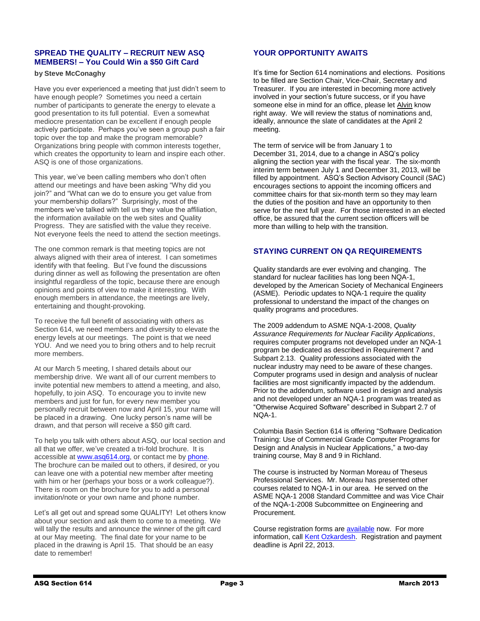## **SPREAD THE QUALITY – RECRUIT NEW ASQ MEMBERS! – You Could Win a \$50 Gift Card**

## **by Steve McConaghy**

Have you ever experienced a meeting that just didn't seem to have enough people? Sometimes you need a certain number of participants to generate the energy to elevate a good presentation to its full potential. Even a somewhat mediocre presentation can be excellent if enough people actively participate. Perhaps you've seen a group push a fair topic over the top and make the program memorable? Organizations bring people with common interests together, which creates the opportunity to learn and inspire each other. ASQ is one of those organizations.

This year, we've been calling members who don't often attend our meetings and have been asking "Why did you join?" and "What can we do to ensure you get value from your membership dollars?" Surprisingly, most of the members we've talked with tell us they value the affiliation, the information available on the web sites and Quality Progress. They are satisfied with the value they receive. Not everyone feels the need to attend the section meetings.

The one common remark is that meeting topics are not always aligned with their area of interest. I can sometimes identify with that feeling. But I've found the discussions during dinner as well as following the presentation are often insightful regardless of the topic, because there are enough opinions and points of view to make it interesting. With enough members in attendance, the meetings are lively, entertaining and thought-provoking.

To receive the full benefit of associating with others as Section 614, we need members and diversity to elevate the energy levels at our meetings. The point is that we need YOU. And we need you to bring others and to help recruit more members.

At our March 5 meeting, I shared details about our membership drive. We want all of our current members to invite potential new members to attend a meeting, and also, hopefully, to join ASQ. To encourage you to invite new members and just for fun, for every new member you personally recruit between now and April 15, your name will be placed in a drawing. One lucky person's name will be drawn, and that person will receive a \$50 gift card.

To help you talk with others about ASQ, our local section and all that we offer, we've created a tri-fold brochure. It is accessible at [www.asq614.org,](http://www.asq614.org/) or contact me b[y phone.](file:///C:/Users/Robert/AppData/Roaming/Microsoft/Word/(509)%20845-4400) The brochure can be mailed out to others, if desired, or you can leave one with a potential new member after meeting with him or her (perhaps your boss or a work colleague?). There is room on the brochure for you to add a personal invitation/note or your own name and phone number.

Let's all get out and spread some QUALITY! Let others know about your section and ask them to come to a meeting. We will tally the results and announce the winner of the gift card at our May meeting. The final date for your name to be placed in the drawing is April 15. That should be an easy date to remember!

## **YOUR OPPORTUNITY AWAITS**

It's time for Section 614 nominations and elections. Positions to be filled are Section Chair, Vice-Chair, Secretary and Treasurer. If you are interested in becoming more actively involved in your section's future success, or if you have someone else in mind for an office, please let [Alvin](mailto:panda_2@charter.net) know right away. We will review the status of nominations and, ideally, announce the slate of candidates at the April 2 meeting.

The term of service will be from January 1 to December 31, 2014, due to a change in ASQ's policy aligning the section year with the fiscal year. The six-month interim term between July 1 and December 31, 2013, will be filled by appointment. ASQ's Section Advisory Council (SAC) encourages sections to appoint the incoming officers and committee chairs for that six-month term so they may learn the duties of the position and have an opportunity to then serve for the next full year. For those interested in an elected office, be assured that the current section officers will be more than willing to help with the transition.

## **STAYING CURRENT ON QA REQUIREMENTS**

Quality standards are ever evolving and changing. The standard for nuclear facilities has long been NQA-1, developed by the American Society of Mechanical Engineers (ASME). Periodic updates to NQA-1 require the quality professional to understand the impact of the changes on quality programs and procedures.

The 2009 addendum to ASME NQA-1-2008, *Quality Assurance Requirements for Nuclear Facility Applications*, requires computer programs not developed under an NQA-1 program be dedicated as described in Requirement 7 and Subpart 2.13. Quality professions associated with the nuclear industry may need to be aware of these changes. Computer programs used in design and analysis of nuclear facilities are most significantly impacted by the addendum. Prior to the addendum, software used in design and analysis and not developed under an NQA-1 program was treated as "Otherwise Acquired Software" described in Subpart 2.7 of NQA-1.

Columbia Basin Section 614 is offering "Software Dedication Training: Use of Commercial Grade Computer Programs for Design and Analysis in Nuclear Applications," a two-day training course, May 8 and 9 in Richland.

The course is instructed by Norman Moreau of Theseus Professional Services. Mr. Moreau has presented other courses related to NQA-1 in our area. He served on the ASME NQA-1 2008 Standard Committee and was Vice Chair of the NQA-1-2008 Subcommittee on Engineering and Procurement.

Course registration forms are [available](http://www.asq614.org/) now. For more information, call [Kent Ozkardesh.](file:///C:/Users/Robert/Documents/ASQ%202012-2013/Newsletters/Mar%202013%20Newsletter/(509)%20371-2937) Registration and payment deadline is April 22, 2013.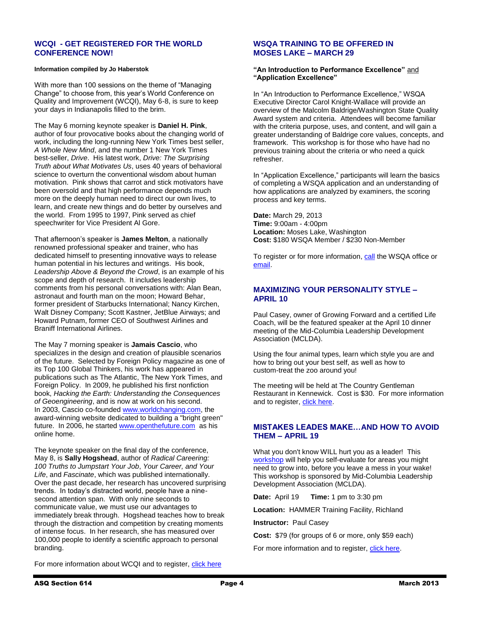## **WCQI - GET REGISTERED FOR THE WORLD CONFERENCE NOW!**

#### **Information compiled by Jo Haberstok**

With more than 100 sessions on the theme of "Managing Change" to choose from, this year's World Conference on Quality and Improvement (WCQI), May 6-8, is sure to keep your days in Indianapolis filled to the brim.

The May 6 morning keynote speaker is **Daniel H. Pink**, author of four provocative books about the changing world of work, including the long-running New York Times best seller, *A Whole New Mind*, and the number 1 New York Times best-seller, *Drive*. His latest work, *Drive: The Surprising Truth about What Motivates Us*, uses 40 years of behavioral science to overturn the conventional wisdom about human motivation. Pink shows that carrot and stick motivators have been oversold and that high performance depends much more on the deeply human need to direct our own lives, to learn, and create new things and do better by ourselves and the world. From 1995 to 1997, Pink served as chief speechwriter for Vice President Al Gore.

That afternoon's speaker is **James Melton**, a nationally renowned professional speaker and trainer, who has dedicated himself to presenting innovative ways to release human potential in his lectures and writings. His book, *Leadership Above & Beyond the Crowd*, is an example of his scope and depth of research. It includes leadership comments from his personal conversations with: Alan Bean, astronaut and fourth man on the moon; Howard Behar, former president of Starbucks International; Nancy Kirchen, Walt Disney Company; Scott Kastner, JetBlue Airways; and Howard Putnam, former CEO of Southwest Airlines and Braniff International Airlines.

The May 7 morning speaker is **Jamais Cascio**, who specializes in the design and creation of plausible scenarios of the future. Selected by Foreign Policy magazine as one of its Top 100 Global Thinkers, his work has appeared in publications such as The Atlantic, The New York Times, and Foreign Policy. In 2009, he published his first nonfiction book, *Hacking the Earth: Understanding the Consequences of Geoengineering*, and is now at work on his second. In 2003, Cascio co-founde[d www.worldchanging.com,](http://www.worldchanging.com/) the award-winning website dedicated to building a "bright green" future. In 2006, he started [www.openthefuture.com](http://www.openthefuture.com/) as his online home.

The keynote speaker on the final day of the conference, May 8, is **Sally Hogshead**, author of *Radical Careering: 100 Truths to Jumpstart Your Job*, *Your Career, and Your Life*, and *Fascinate*, which was published internationally. Over the past decade, her research has uncovered surprising trends. In today's distracted world, people have a ninesecond attention span. With only nine seconds to communicate value, we must use our advantages to immediately break through. Hogshead teaches how to break through the distraction and competition by creating moments of intense focus. In her research, she has measured over 100,000 people to identify a scientific approach to personal branding.

For more information about WCQI and to register, [click here](http://wcqi.asq.org/theme-focus-areas.html)

## **WSQA TRAINING TO BE OFFERED IN MOSES LAKE – MARCH 29**

#### **"An Introduction to Performance Excellence"** and **"Application Excellence"**

In "An Introduction to Performance Excellence," WSQA Executive Director Carol Knight-Wallace will provide an overview of the Malcolm Baldrige/Washington State Quality Award system and criteria. Attendees will become familiar with the criteria purpose, uses, and content, and will gain a greater understanding of Baldrige core values, concepts, and framework. This workshop is for those who have had no previous training about the criteria or who need a quick refresher.

In "Application Excellence," participants will learn the basics of completing a WSQA application and an understanding of how applications are analyzed by examiners, the scoring process and key terms.

**Date:** March 29, 2013 **Time:** 9:00am - 4:00pm **Location:** Moses Lake, Washington **Cost:** \$180 WSQA Member / \$230 Non-Member

To register or for more information, [call](file:///C:/Users/Robert/AppData/Local/Microsoft/Windows/Temporary%20Internet%20Files/Content.Outlook/AP1LWLY7/(253)%20277-1142) the WSQA office or [email.](mailto:wsqa@wsqa.net)

### **MAXIMIZING YOUR PERSONALITY STYLE – APRIL 10**

Paul Casey, owner of Growing Forward and a certified Life Coach, will be the featured speaker at the April 10 dinner meeting of the Mid-Columbia Leadership Development Association (MCLDA).

Using the four animal types, learn which style you are and how to bring out your best self, as well as how to custom-treat the zoo around you!

The meeting will be held at The Country Gentleman Restaurant in Kennewick. Cost is \$30. For more information and to register, [click here.](http://www.mclda.org/)

## **MISTAKES LEADES MAKE…AND HOW TO AVOID THEM – APRIL 19**

What you don't know WILL hurt you as a leader! This [workshop](https://docs.google.com/viewer?a=v&pid=gmail&attid=0.1&thid=13d5b2ef670f64b5&mt=application/pdf&url=https://mail.google.com/mail/?ui%3D2%26ik%3Da0eb5fbede%26view%3Datt%26th%3D13d5b2ef670f64b5%26attid%3D0.1%26disp%3Dsafe%26realattid%3Df_he63a8du0%26zw&sig=AHIEtbRnlCurXlXR8o7F9ycWNPSQw4hVRQ) will help you self-evaluate for areas you might need to grow into, before you leave a mess in your wake! This workshop is sponsored by Mid-Columbia Leadership Development Association (MCLDA).

**Date:** April 19 **Time:** 1 pm to 3:30 pm

**Location:** HAMMER Training Facility, Richland

**Instructor:** Paul Casey

**Cost:** \$79 (for groups of 6 or more, only \$59 each)

For more information and to register, [click here.](mailto:pcgrowingforward@gmail.com)